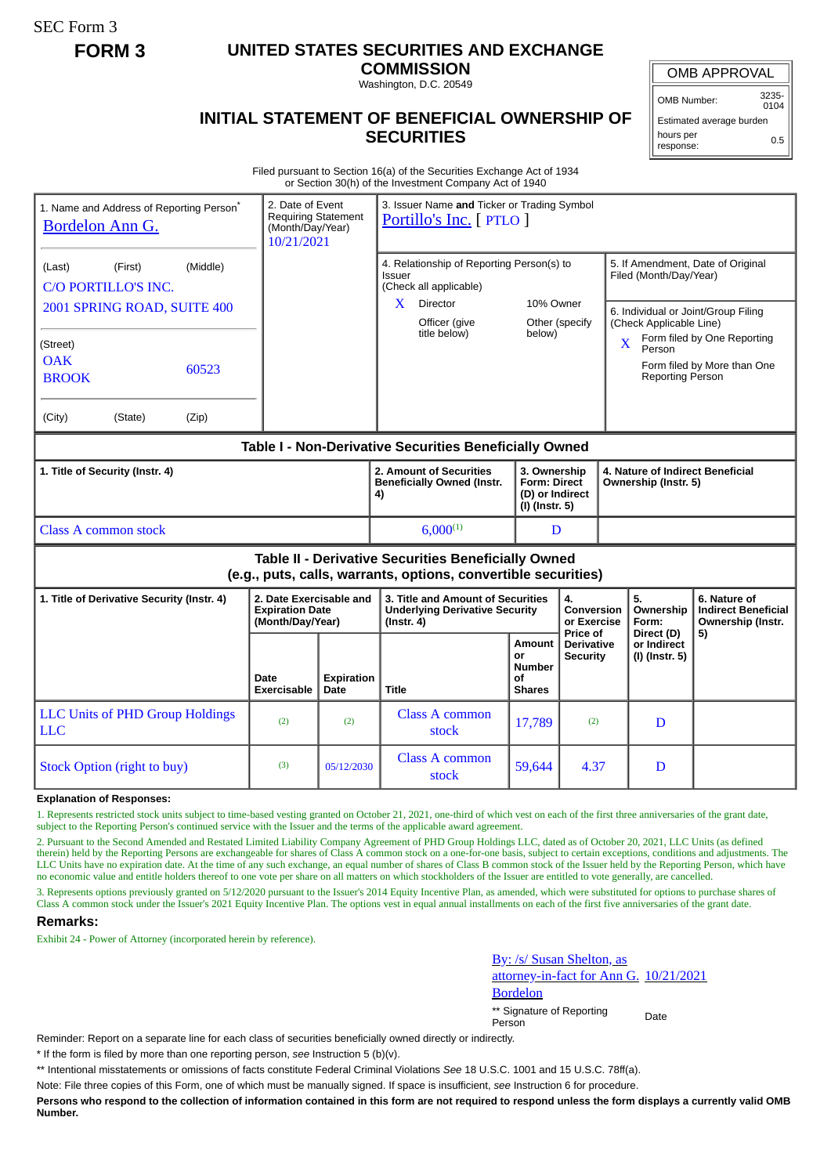SEC Form 3

# **FORM 3 UNITED STATES SECURITIES AND EXCHANGE**

**COMMISSION** Washington, D.C. 20549

## OMB APPROVAL

OMB Number: 3235- 0104

0.5

**INITIAL STATEMENT OF BENEFICIAL OWNERSHIP OF** Estimated average burden hours per

# response:

**SECURITIES** Filed pursuant to Section 16(a) of the Securities Exchange Act of 1934

| or Section 30(h) of the Investment Company Act of 1940                                                                |                                                                           |                           |                                                                                                |                                                                          |                                                          |                                                                |                                                             |                                                                 |  |
|-----------------------------------------------------------------------------------------------------------------------|---------------------------------------------------------------------------|---------------------------|------------------------------------------------------------------------------------------------|--------------------------------------------------------------------------|----------------------------------------------------------|----------------------------------------------------------------|-------------------------------------------------------------|-----------------------------------------------------------------|--|
| 1. Name and Address of Reporting Person <sup>®</sup><br>Bordelon Ann G.                                               | 2. Date of Event<br>Requiring Statement<br>(Month/Day/Year)<br>10/21/2021 |                           | 3. Issuer Name and Ticker or Trading Symbol<br>Portillo's Inc. [ PTLO ]                        |                                                                          |                                                          |                                                                |                                                             |                                                                 |  |
| (Middle)<br>(Last)<br>(First)<br>C/O PORTILLO'S INC.                                                                  |                                                                           |                           | 4. Relationship of Reporting Person(s) to<br>Issuer<br>(Check all applicable)                  |                                                                          |                                                          |                                                                | 5. If Amendment, Date of Original<br>Filed (Month/Day/Year) |                                                                 |  |
| 2001 SPRING ROAD, SUITE 400                                                                                           |                                                                           |                           | Director<br>X.<br>Officer (give                                                                | 10% Owner<br>Other (specify                                              |                                                          | 6. Individual or Joint/Group Filing<br>(Check Applicable Line) |                                                             |                                                                 |  |
| (Street)<br><b>OAK</b><br>60523<br><b>BROOK</b>                                                                       |                                                                           |                           | title below)                                                                                   | below)                                                                   |                                                          | X                                                              | Person<br><b>Reporting Person</b>                           | Form filed by One Reporting<br>Form filed by More than One      |  |
| (City)<br>(State)<br>(Zip)                                                                                            |                                                                           |                           |                                                                                                |                                                                          |                                                          |                                                                |                                                             |                                                                 |  |
| Table I - Non-Derivative Securities Beneficially Owned                                                                |                                                                           |                           |                                                                                                |                                                                          |                                                          |                                                                |                                                             |                                                                 |  |
| 1. Title of Security (Instr. 4)                                                                                       |                                                                           |                           | 2. Amount of Securities<br><b>Beneficially Owned (Instr.</b><br>4)                             | 3. Ownership<br><b>Form: Direct</b><br>(D) or Indirect<br>(I) (Instr. 5) | 4. Nature of Indirect Beneficial<br>Ownership (Instr. 5) |                                                                |                                                             |                                                                 |  |
| Class A common stock                                                                                                  |                                                                           |                           | $6,000^{(1)}$                                                                                  |                                                                          | D                                                        |                                                                |                                                             |                                                                 |  |
| Table II - Derivative Securities Beneficially Owned<br>(e.g., puts, calls, warrants, options, convertible securities) |                                                                           |                           |                                                                                                |                                                                          |                                                          |                                                                |                                                             |                                                                 |  |
| 1. Title of Derivative Security (Instr. 4)                                                                            | 2. Date Exercisable and<br><b>Expiration Date</b><br>(Month/Day/Year)     |                           | 3. Title and Amount of Securities<br><b>Underlying Derivative Security</b><br>$($ Instr. 4 $)$ |                                                                          | 4.<br><b>Conversion</b><br>or Exercise<br>Price of       |                                                                | 5.<br>Ownership<br>Form:<br>Direct (D)                      | 6. Nature of<br><b>Indirect Beneficial</b><br>Ownership (Instr. |  |
|                                                                                                                       | Date<br>Exercisable                                                       | <b>Expiration</b><br>Date | <b>Title</b>                                                                                   | Amount<br>or<br><b>Number</b><br>Οf<br><b>Shares</b>                     | <b>Derivative</b><br><b>Security</b>                     |                                                                | or Indirect<br>(I) (Instr. 5)                               | 5)                                                              |  |
| <b>LLC Units of PHD Group Holdings</b><br><b>LLC</b>                                                                  | (2)                                                                       | (2)                       | Class A common<br>stock                                                                        | 17,789                                                                   | (2)                                                      |                                                                | D                                                           |                                                                 |  |
| Stock Option (right to buy)                                                                                           | (3)                                                                       | 05/12/2030                | <b>Class A common</b><br>stock                                                                 | 59,644                                                                   | 4.37                                                     |                                                                | D                                                           |                                                                 |  |

#### **Explanation of Responses:**

1. Represents restricted stock units subject to time-based vesting granted on October 21, 2021, one-third of which vest on each of the first three anniversaries of the grant date, subject to the Reporting Person's continued service with the Issuer and the terms of the applicable award agreement.

2. Pursuant to the Second Amended and Restated Limited Liability Company Agreement of PHD Group Holdings LLC, dated as of October 20, 2021, LLC Units (as defined therein) held by the Reporting Persons are exchangeable for shares of Class A common stock on a one-for-one basis, subject to certain exceptions, conditions and adjustments. The LLC Units have no expiration date. At the time of any such exchange, an equal number of shares of Class B common stock of the Issuer held by the Reporting Person, which have no economic value and entitle holders thereof to one vote per share on all matters on which stockholders of the Issuer are entitled to vote generally, are cancelled.

3. Represents options previously granted on 5/12/2020 pursuant to the Issuer's 2014 Equity Incentive Plan, as amended, which were substituted for options to purchase shares of Class A common stock under the Issuer's 2021 Equity Incentive Plan. The options vest in equal annual installments on each of the first five anniversaries of the grant date.

## **Remarks:**

Exhibit 24 - Power of Attorney (incorporated herein by reference).

By: /s/ Susan Shelton, as attorney-in-fact for Ann G. 10/21/2021 Bordelon

\*\* Signature of Reporting Person Date

Reminder: Report on a separate line for each class of securities beneficially owned directly or indirectly.

\* If the form is filed by more than one reporting person, *see* Instruction 5 (b)(v).

\*\* Intentional misstatements or omissions of facts constitute Federal Criminal Violations *See* 18 U.S.C. 1001 and 15 U.S.C. 78ff(a).

Note: File three copies of this Form, one of which must be manually signed. If space is insufficient, *see* Instruction 6 for procedure.

**Persons who respond to the collection of information contained in this form are not required to respond unless the form displays a currently valid OMB Number.**